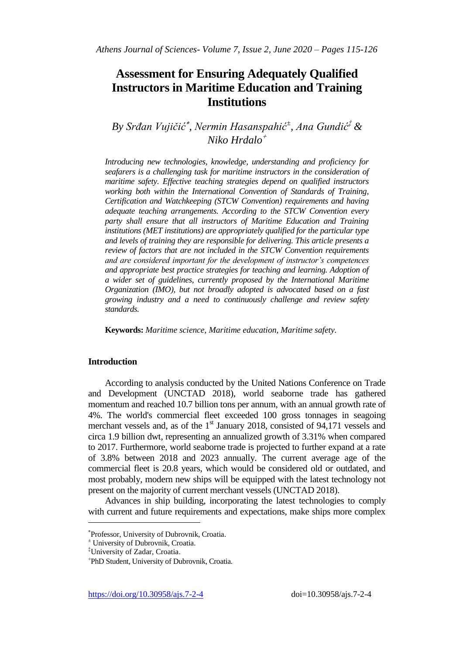# **Assessment for Ensuring Adequately Qualified Instructors in Maritime Education and Training Institutions**

*By Srđan Vujičić , Nermin Hasanspahić<sup>±</sup> , Ana Gundić‡ & Niko Hrdalo*

*Introducing new technologies, knowledge, understanding and proficiency for seafarers is a challenging task for maritime instructors in the consideration of maritime safety. Effective teaching strategies depend on qualified instructors working both within the International Convention of Standards of Training, Certification and Watchkeeping (STCW Convention) requirements and having adequate teaching arrangements. According to the STCW Convention every party shall ensure that all instructors of Maritime Education and Training institutions (MET institutions) are appropriately qualified for the particular type and levels of training they are responsible for delivering. This article presents a review of factors that are not included in the STCW Convention requirements and are considered important for the development of instructor's competences and appropriate best practice strategies for teaching and learning. Adoption of a wider set of guidelines, currently proposed by the International Maritime Organization (IMO), but not broadly adopted is advocated based on a fast growing industry and a need to continuously challenge and review safety standards.*

**Keywords:** *Maritime science, Maritime education, Maritime safety.*

## **Introduction**

According to analysis conducted by the United Nations Conference on Trade and Development (UNCTAD 2018), world seaborne trade has gathered momentum and reached 10.7 billion tons per annum, with an annual growth rate of 4%. The world's commercial fleet exceeded 100 gross tonnages in seagoing merchant vessels and, as of the  $1<sup>st</sup>$  January 2018, consisted of 94,171 vessels and circa 1.9 billion dwt, representing an annualized growth of 3.31% when compared to 2017. Furthermore, world seaborne trade is projected to further expand at a rate of 3.8% between 2018 and 2023 annually. The current average age of the commercial fleet is 20.8 years, which would be considered old or outdated, and most probably, modern new ships will be equipped with the latest technology not present on the majority of current merchant vessels (UNCTAD 2018).

Advances in ship building, incorporating the latest technologies to comply with current and future requirements and expectations, make ships more complex

 $\overline{a}$ 

Professor, University of Dubrovnik, Croatia.

<sup>±</sup> University of Dubrovnik, Croatia.

<sup>‡</sup>University of Zadar, Croatia.

PhD Student, University of Dubrovnik, Croatia.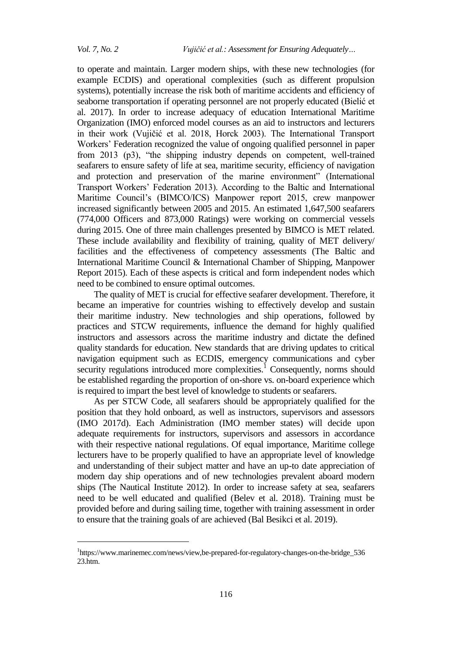$\overline{a}$ 

to operate and maintain. Larger modern ships, with these new technologies (for example ECDIS) and operational complexities (such as different propulsion systems), potentially increase the risk both of maritime accidents and efficiency of seaborne transportation if operating personnel are not properly educated (Bielić et al. 2017). In order to increase adequacy of education International Maritime Organization (IMO) enforced model courses as an aid to instructors and lecturers in their work (Vujičić et al. 2018, Horck 2003). The International Transport Workers" Federation recognized the value of ongoing qualified personnel in paper from 2013 (p3), "the shipping industry depends on competent, well-trained seafarers to ensure safety of life at sea, maritime security, efficiency of navigation and protection and preservation of the marine environment" (International Transport Workers" Federation 2013). According to the Baltic and International Maritime Council"s (BIMCO/ICS) Manpower report 2015, crew manpower increased significantly between 2005 and 2015. An estimated 1,647,500 seafarers (774,000 Officers and 873,000 Ratings) were working on commercial vessels during 2015. One of three main challenges presented by BIMCO is MET related. These include availability and flexibility of training, quality of MET delivery/ facilities and the effectiveness of competency assessments (The Baltic and International Maritime Council & International Chamber of Shipping, Manpower Report 2015). Each of these aspects is critical and form independent nodes which need to be combined to ensure optimal outcomes.

The quality of MET is crucial for effective seafarer development. Therefore, it became an imperative for countries wishing to effectively develop and sustain their maritime industry. New technologies and ship operations, followed by practices and STCW requirements, influence the demand for highly qualified instructors and assessors across the maritime industry and dictate the defined quality standards for education. New standards that are driving updates to critical navigation equipment such as ECDIS, emergency communications and cyber security regulations introduced more complexities.<sup>1</sup> Consequently, norms should be established regarding the proportion of on-shore vs. on-board experience which is required to impart the best level of knowledge to students or seafarers.

As per STCW Code, all seafarers should be appropriately qualified for the position that they hold onboard, as well as instructors, supervisors and assessors (IMO 2017d). Each Administration (IMO member states) will decide upon adequate requirements for instructors, supervisors and assessors in accordance with their respective national regulations. Of equal importance, Maritime college lecturers have to be properly qualified to have an appropriate level of knowledge and understanding of their subject matter and have an up-to date appreciation of modern day ship operations and of new technologies prevalent aboard modern ships (The Nautical Institute 2012). In order to increase safety at sea, seafarers need to be well educated and qualified (Belev et al. 2018). Training must be provided before and during sailing time, together with training assessment in order to ensure that the training goals of are achieved (Bal Besikci et al. 2019).

<sup>&</sup>lt;sup>1</sup>https://www.marinemec.com/news/view,be-prepared-for-regulatory-changes-on-the-bridge\_536 23.htm.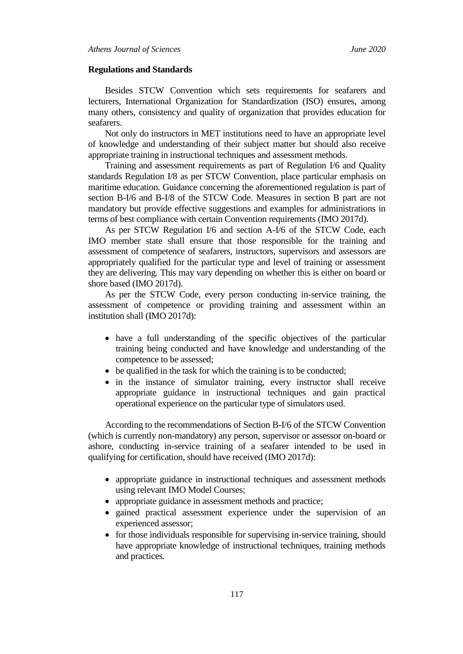#### **Regulations and Standards**

Besides STCW Convention which sets requirements for seafarers and lecturers, International Organization for Standardization (ISO) ensures, among many others, consistency and quality of organization that provides education for seafarers.

Not only do instructors in MET institutions need to have an appropriate level of knowledge and understanding of their subject matter but should also receive appropriate training in instructional techniques and assessment methods.

Training and assessment requirements as part of Regulation I/6 and Quality standards Regulation I/8 as per STCW Convention, place particular emphasis on maritime education. Guidance concerning the aforementioned regulation is part of section B-I/6 and B-I/8 of the STCW Code. Measures in section B part are not mandatory but provide effective suggestions and examples for administrations in terms of best compliance with certain Convention requirements (IMO 2017d).

As per STCW Regulation I/6 and section A-I/6 of the STCW Code, each IMO member state shall ensure that those responsible for the training and assessment of competence of seafarers, instructors, supervisors and assessors are appropriately qualified for the particular type and level of training or assessment they are delivering. This may vary depending on whether this is either on board or shore based (IMO 2017d).

As per the STCW Code, every person conducting in-service training, the assessment of competence or providing training and assessment within an institution shall (IMO 2017d):

- have a full understanding of the specific objectives of the particular training being conducted and have knowledge and understanding of the competence to be assessed;
- be qualified in the task for which the training is to be conducted;
- in the instance of simulator training, every instructor shall receive appropriate guidance in instructional techniques and gain practical operational experience on the particular type of simulators used.

According to the recommendations of Section B-I/6 of the STCW Convention (which is currently non-mandatory) any person, supervisor or assessor on-board or ashore, conducting in-service training of a seafarer intended to be used in qualifying for certification, should have received (IMO 2017d):

- appropriate guidance in instructional techniques and assessment methods using relevant IMO Model Courses;
- appropriate guidance in assessment methods and practice;
- gained practical assessment experience under the supervision of an experienced assessor;
- for those individuals responsible for supervising in-service training, should have appropriate knowledge of instructional techniques, training methods and practices.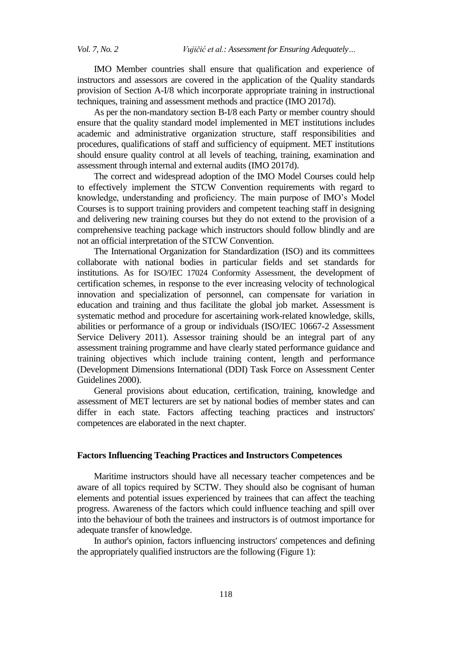IMO Member countries shall ensure that qualification and experience of instructors and assessors are covered in the application of the Quality standards provision of Section A-I/8 which incorporate appropriate training in instructional techniques, training and assessment methods and practice (IMO 2017d).

As per the non-mandatory section B-I/8 each Party or member country should ensure that the quality standard model implemented in MET institutions includes academic and administrative organization structure, staff responsibilities and procedures, qualifications of staff and sufficiency of equipment. MET institutions should ensure quality control at all levels of teaching, training, examination and assessment through internal and external audits (IMO 2017d).

The correct and widespread adoption of the IMO Model Courses could help to effectively implement the STCW Convention requirements with regard to knowledge, understanding and proficiency. The main purpose of IMO"s Model Courses is to support training providers and competent teaching staff in designing and delivering new training courses but they do not extend to the provision of a comprehensive teaching package which instructors should follow blindly and are not an official interpretation of the STCW Convention.

The International Organization for Standardization (ISO) and its committees collaborate with national bodies in particular fields and set standards for institutions. As for ISO/IEC 17024 Conformity Assessment, the development of certification schemes, in response to the ever increasing velocity of technological innovation and specialization of personnel, can compensate for variation in education and training and thus facilitate the global job market. Assessment is systematic method and procedure for ascertaining work-related knowledge, skills, abilities or performance of a group or individuals (ISO/IEC 10667-2 Assessment Service Delivery 2011). Assessor training should be an integral part of any assessment training programme and have clearly stated performance guidance and training objectives which include training content, length and performance (Development Dimensions International (DDI) Task Force on Assessment Center Guidelines 2000).

General provisions about education, certification, training, knowledge and assessment of MET lecturers are set by national bodies of member states and can differ in each state. Factors affecting teaching practices and instructors' competences are elaborated in the next chapter.

## **Factors Influencing Teaching Practices and Instructors Competences**

Maritime instructors should have all necessary teacher competences and be aware of all topics required by SCTW. They should also be cognisant of human elements and potential issues experienced by trainees that can affect the teaching progress. Awareness of the factors which could influence teaching and spill over into the behaviour of both the trainees and instructors is of outmost importance for adequate transfer of knowledge.

In author's opinion, factors influencing instructors' competences and defining the appropriately qualified instructors are the following (Figure 1):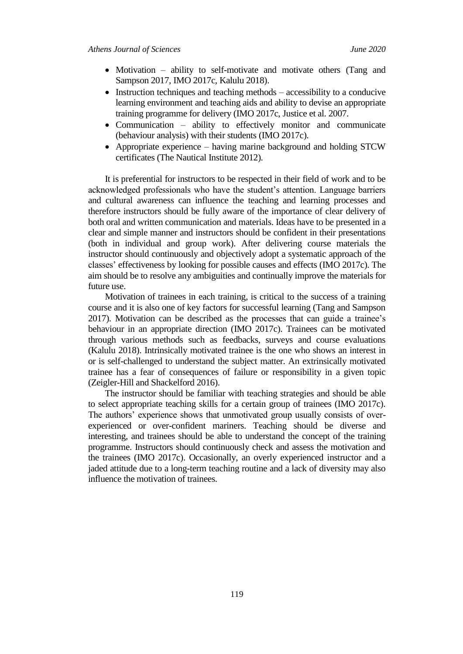- Motivation ability to self-motivate and motivate others (Tang and Sampson 2017, IMO 2017c, Kalulu 2018).
- $\bullet$  Instruction techniques and teaching methods accessibility to a conducive learning environment and teaching aids and ability to devise an appropriate training programme for delivery (IMO 2017c, Justice et al. 2007.
- Communication ability to effectively monitor and communicate (behaviour analysis) with their students (IMO 2017c).
- Appropriate experience having marine background and holding STCW certificates (The Nautical Institute 2012).

It is preferential for instructors to be respected in their field of work and to be acknowledged professionals who have the student"s attention. Language barriers and cultural awareness can influence the teaching and learning processes and therefore instructors should be fully aware of the importance of clear delivery of both oral and written communication and materials. Ideas have to be presented in a clear and simple manner and instructors should be confident in their presentations (both in individual and group work). After delivering course materials the instructor should continuously and objectively adopt a systematic approach of the classes" effectiveness by looking for possible causes and effects (IMO 2017c). The aim should be to resolve any ambiguities and continually improve the materials for future use.

Motivation of trainees in each training, is critical to the success of a training course and it is also one of key factors for successful learning (Tang and Sampson 2017). Motivation can be described as the processes that can guide a trainee"s behaviour in an appropriate direction (IMO 2017c). Trainees can be motivated through various methods such as feedbacks, surveys and course evaluations (Kalulu 2018). Intrinsically motivated trainee is the one who shows an interest in or is self-challenged to understand the subject matter. An extrinsically motivated trainee has a fear of consequences of failure or responsibility in a given topic (Zeigler-Hill and Shackelford 2016).

The instructor should be familiar with teaching strategies and should be able to select appropriate teaching skills for a certain group of trainees (IMO 2017c). The authors' experience shows that unmotivated group usually consists of overexperienced or over-confident mariners. Teaching should be diverse and interesting, and trainees should be able to understand the concept of the training programme. Instructors should continuously check and assess the motivation and the trainees (IMO 2017c). Occasionally, an overly experienced instructor and a jaded attitude due to a long-term teaching routine and a lack of diversity may also influence the motivation of trainees.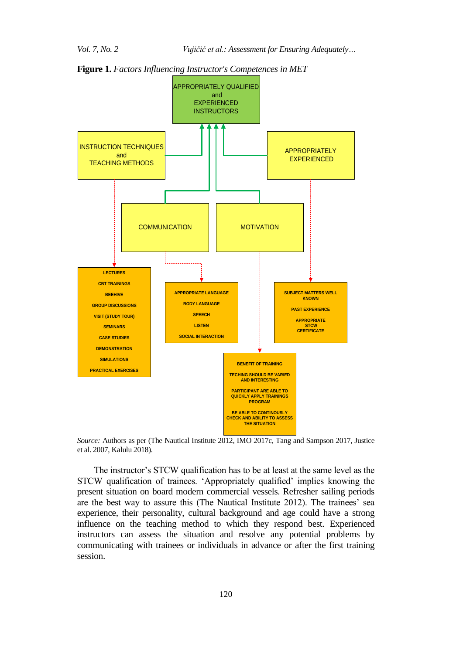

**Figure 1.** *Factors Influencing Instructor's Competences in MET*



The instructor"s STCW qualification has to be at least at the same level as the STCW qualification of trainees. "Appropriately qualified" implies knowing the present situation on board modern commercial vessels. Refresher sailing periods are the best way to assure this (The Nautical Institute 2012). The trainees' sea experience, their personality, cultural background and age could have a strong influence on the teaching method to which they respond best. Experienced instructors can assess the situation and resolve any potential problems by communicating with trainees or individuals in advance or after the first training session.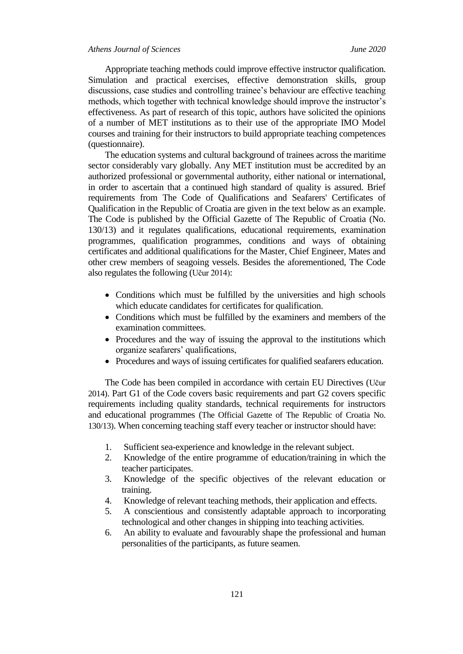Appropriate teaching methods could improve effective instructor qualification. Simulation and practical exercises, effective demonstration skills, group discussions, case studies and controlling trainee's behaviour are effective teaching methods, which together with technical knowledge should improve the instructor"s effectiveness. As part of research of this topic, authors have solicited the opinions of a number of MET institutions as to their use of the appropriate IMO Model courses and training for their instructors to build appropriate teaching competences (questionnaire).

The education systems and cultural background of trainees across the maritime sector considerably vary globally. Any MET institution must be accredited by an authorized professional or governmental authority, either national or international, in order to ascertain that a continued high standard of quality is assured. Brief requirements from The Code of Qualifications and Seafarers' Certificates of Qualification in the Republic of Croatia are given in the text below as an example. The Code is published by the Official Gazette of The Republic of Croatia (No. 130/13) and it regulates qualifications, educational requirements, examination programmes, qualification programmes, conditions and ways of obtaining certificates and additional qualifications for the Master, Chief Engineer, Mates and other crew members of seagoing vessels. Besides the aforementioned, The Code also regulates the following (Učur 2014):

- Conditions which must be fulfilled by the universities and high schools which educate candidates for certificates for qualification.
- Conditions which must be fulfilled by the examiners and members of the examination committees.
- Procedures and the way of issuing the approval to the institutions which organize seafarers' qualifications,
- Procedures and ways of issuing certificates for qualified seafarers education.

The Code has been compiled in accordance with certain EU Directives (Učur 2014). Part G1 of the Code covers basic requirements and part G2 covers specific requirements including quality standards, technical requirements for instructors and educational programmes (The Official Gazette of The Republic of Croatia No. 130/13). When concerning teaching staff every teacher or instructor should have:

- 1. Sufficient sea-experience and knowledge in the relevant subject.
- 2. Knowledge of the entire programme of education/training in which the teacher participates.
- 3. Knowledge of the specific objectives of the relevant education or training.
- 4. Knowledge of relevant teaching methods, their application and effects.
- 5. A conscientious and consistently adaptable approach to incorporating technological and other changes in shipping into teaching activities.
- 6. An ability to evaluate and favourably shape the professional and human personalities of the participants, as future seamen.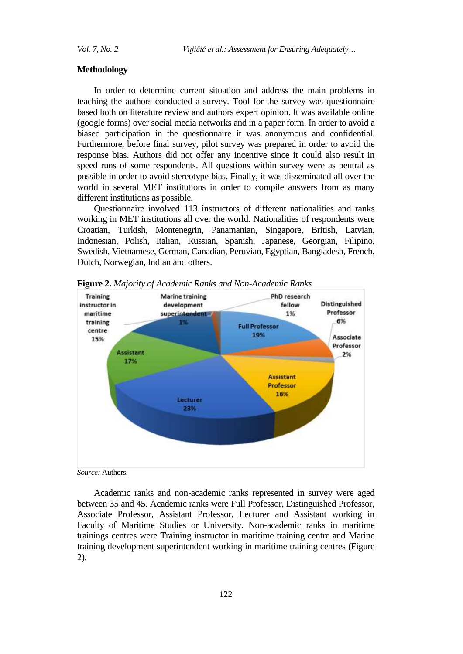#### **Methodology**

In order to determine current situation and address the main problems in teaching the authors conducted a survey. Tool for the survey was questionnaire based both on literature review and authors expert opinion. It was available online (google forms) over social media networks and in a paper form. In order to avoid a biased participation in the questionnaire it was anonymous and confidential. Furthermore, before final survey, pilot survey was prepared in order to avoid the response bias. Authors did not offer any incentive since it could also result in speed runs of some respondents. All questions within survey were as neutral as possible in order to avoid stereotype bias. Finally, it was disseminated all over the world in several MET institutions in order to compile answers from as many different institutions as possible.

Questionnaire involved 113 instructors of different nationalities and ranks working in MET institutions all over the world. Nationalities of respondents were Croatian, Turkish, Montenegrin, Panamanian, Singapore, British, Latvian, Indonesian, Polish, Italian, Russian, Spanish, Japanese, Georgian, Filipino, Swedish, Vietnamese, German, Canadian, Peruvian, Egyptian, Bangladesh, French, Dutch, Norwegian, Indian and others.



**Figure 2.** *Majority of Academic Ranks and Non-Academic Ranks*

*Source:* Authors.

Academic ranks and non-academic ranks represented in survey were aged between 35 and 45. Academic ranks were Full Professor, Distinguished Professor, Associate Professor, Assistant Professor, Lecturer and Assistant working in Faculty of Maritime Studies or University. Non-academic ranks in maritime trainings centres were Training instructor in maritime training centre and Marine training development superintendent working in maritime training centres (Figure 2).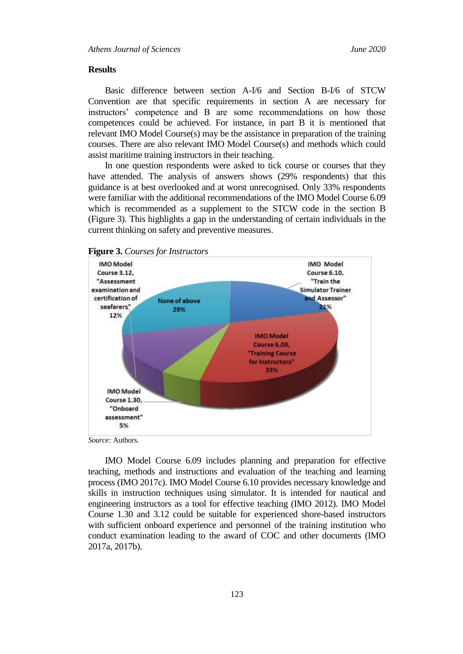#### **Results**

Basic difference between section A-I/6 and Section B-I/6 of STCW Convention are that specific requirements in section A are necessary for instructors" competence and B are some recommendations on how those competences could be achieved. For instance, in part B it is mentioned that relevant IMO Model Course(s) may be the assistance in preparation of the training courses. There are also relevant IMO Model Course(s) and methods which could assist maritime training instructors in their teaching.

In one question respondents were asked to tick course or courses that they have attended. The analysis of answers shows (29% respondents) that this guidance is at best overlooked and at worst unrecognised. Only 33% respondents were familiar with the additional recommendations of the IMO Model Course 6.09 which is recommended as a supplement to the STCW code in the section B (Figure 3). This highlights a gap in the understanding of certain individuals in the current thinking on safety and preventive measures.



**Figure 3.** *Courses for Instructors*

*Source:* Authors.

IMO Model Course 6.09 includes planning and preparation for effective teaching, methods and instructions and evaluation of the teaching and learning process (IMO 2017c). IMO Model Course 6.10 provides necessary knowledge and skills in instruction techniques using simulator. It is intended for nautical and engineering instructors as a tool for effective teaching (IMO 2012). IMO Model Course 1.30 and 3.12 could be suitable for experienced shore-based instructors with sufficient onboard experience and personnel of the training institution who conduct examination leading to the award of COC and other documents (IMO 2017a, 2017b).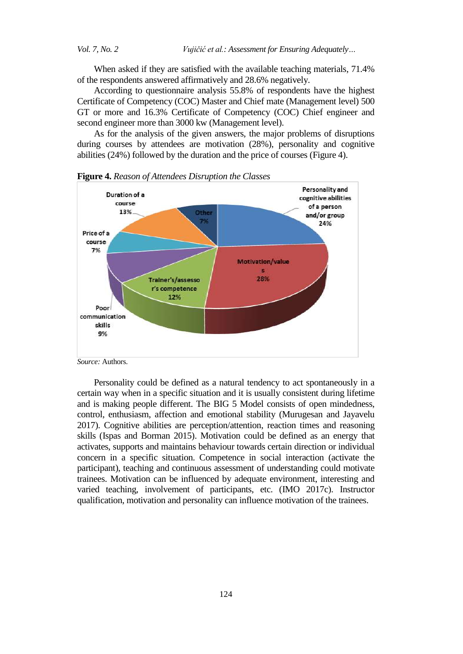*Vol. 7, No. 2 Vujičić et al.: Assessment for Ensuring Adequately…*

When asked if they are satisfied with the available teaching materials, 71.4% of the respondents answered affirmatively and 28.6% negatively.

According to questionnaire analysis 55.8% of respondents have the highest Certificate of Competency (COC) Master and Chief mate (Management level) 500 GT or more and 16.3% Certificate of Competency (COC) Chief engineer and second engineer more than 3000 kw (Management level).

As for the analysis of the given answers, the major problems of disruptions during courses by attendees are motivation (28%), personality and cognitive abilities (24%) followed by the duration and the price of courses (Figure 4).



**Figure 4.** *Reason of Attendees Disruption the Classes*

*Source:* Authors.

Personality could be defined as a natural tendency to act spontaneously in a certain way when in a specific situation and it is usually consistent during lifetime and is making people different. The BIG 5 Model consists of open mindedness, control, enthusiasm, affection and emotional stability (Murugesan and Jayavelu 2017). Cognitive abilities are perception/attention, reaction times and reasoning skills (Ispas and Borman 2015). Motivation could be defined as an energy that activates, supports and maintains behaviour towards certain direction or individual concern in a specific situation. Competence in social interaction (activate the participant), teaching and continuous assessment of understanding could motivate trainees. Motivation can be influenced by adequate environment, interesting and varied teaching, involvement of participants, etc. (IMO 2017c). Instructor qualification, motivation and personality can influence motivation of the trainees.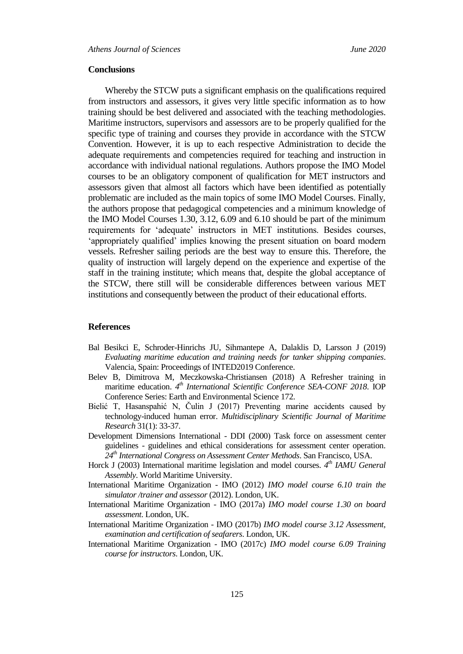### **Conclusions**

Whereby the STCW puts a significant emphasis on the qualifications required from instructors and assessors, it gives very little specific information as to how training should be best delivered and associated with the teaching methodologies. Maritime instructors, supervisors and assessors are to be properly qualified for the specific type of training and courses they provide in accordance with the STCW Convention. However, it is up to each respective Administration to decide the adequate requirements and competencies required for teaching and instruction in accordance with individual national regulations. Authors propose the IMO Model courses to be an obligatory component of qualification for MET instructors and assessors given that almost all factors which have been identified as potentially problematic are included as the main topics of some IMO Model Courses. Finally, the authors propose that pedagogical competencies and a minimum knowledge of the IMO Model Courses 1.30, 3.12, 6.09 and 6.10 should be part of the minimum requirements for "adequate" instructors in MET institutions. Besides courses, "appropriately qualified" implies knowing the present situation on board modern vessels. Refresher sailing periods are the best way to ensure this. Therefore, the quality of instruction will largely depend on the experience and expertise of the staff in the training institute; which means that, despite the global acceptance of the STCW, there still will be considerable differences between various MET institutions and consequently between the product of their educational efforts.

#### **References**

- Bal Besikci E, Schroder-Hinrichs JU, Sihmantepe A, Dalaklis D, Larsson J (2019) *Evaluating maritime education and training needs for tanker shipping companies*. Valencia, Spain: Proceedings of INTED2019 Conference.
- Belev B, Dimitrova M, Meczkowska-Christiansen (2018) A Refresher training in maritime education. 4<sup>th</sup> *International Scientific Conference SEA-CONF 2018*. IOP Conference Series: Earth and Environmental Science 172.
- Bielić T, Hasanspahić N, Čulin J (2017) Preventing marine accidents caused by technology-induced human error. *Multidisciplinary Scientific Journal of Maritime Research* 31(1): 33-37.
- Development Dimensions International DDI (2000) Task force on assessment center guidelines - guidelines and ethical considerations for assessment center operation. *24th International Congress on Assessment Center Methods*. San Francisco, USA.
- Horck J (2003) International maritime legislation and model courses. *4 th IAMU General Assembly*. World Maritime University.
- International Maritime Organization IMO (2012) *IMO model course 6.10 train the simulator /trainer and assessor* (2012). London, UK.
- International Maritime Organization IMO (2017a) *IMO model course 1.30 on board assessment*. London, UK.
- International Maritime Organization IMO (2017b) *IMO model course 3.12 Assessment, examination and certification of seafarers*. London, UK.
- International Maritime Organization IMO (2017c) *IMO model course 6.09 Training course for instructors*. London, UK.